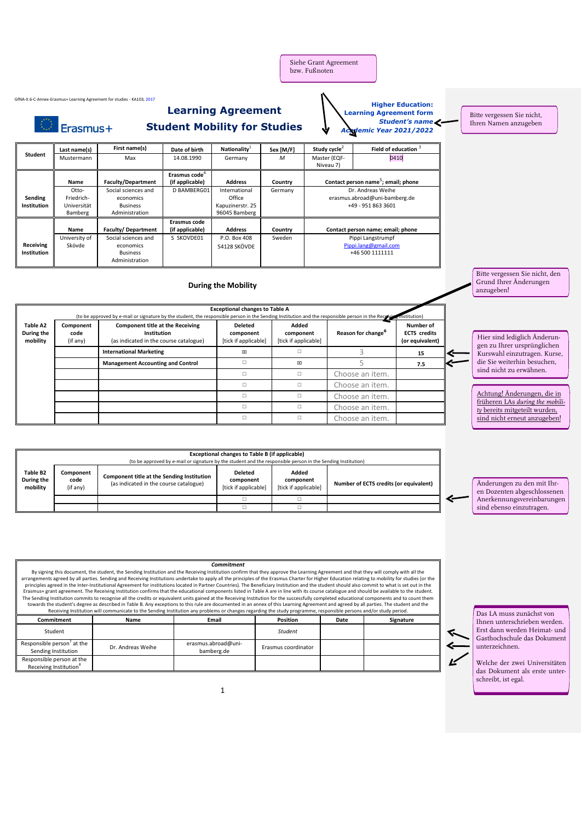Siehe Grant Agreement bzw. Fußnoten

> **Higher Education: Learning Agreement form**

*Academic Year 2021/2022*

*Student's name*

Bitte vergessen Sie nicht, Ihren Namen anzugeben

**Student Last name(s) First name(s) Date of birth Nationality**<sup>1</sup> Sex [M/F] **Study cycle**<sup>2</sup> **Field of education** <sup>3</sup> Mustermann Max 14.08.1990 Germany *M* Master (EQF-Niveau 7) 0410 **Sending Institution Name Faculty/Department** Erasmus code<sup>4</sup><br>(if applicable) **(if applicable) Address Country Contact person name**<sup>5</sup> **; email; phone** Otto-Friedrich-Universität Bamberg Social sciences and economics Business Administration D BAMBERG01 International **Office** Kapuzinerstr. 25 96045 Bamberg Germany Dr. Andreas Weihe erasmus.abroad@uni-bamberg.de +49 - 951 863 3601 **Receiving Institution Name Faculty/ Department Erasmus code (if applicable) Address Country Contact person name; email; phone** University of Skövde Social sciences and economics Business Administration P.O. Box 408 54128 SKÖVDE Pippi Langstrumpf Pippi.lang@gmail. +46 500 1111111 **During the Mobility Exceptional changes to Table A** (to be approved by e-mail or signature by the student, the responsible person in the Sending Institution and the responsible person in the Receiving **Table A2 During the mobility Component code**  (if any) **Component title at the Receiving Institution** (as indicated in the course catalogue) **Deleted component** [tick if applicable] **Added component** [tick if applicable] **Reason for change<sup>6</sup> Number of ECTS credits (or equivalent) International Marketing Ⅱ** △ 3 **15 Management Accounting and Control** □ │ ⊠ │ 5 │ 7.5 □ □ Choose an item □ □ Choose an item. □ □ Choose an item. □ □ Choose an item. □ □ Choose an item **Exceptional changes to Table B (if applicable)**<br>In signature by the student and the responsible person in the Sending Institution) (to be approved by e-mail or signature by the student and the responsible person Bitte vergessen Sie nicht, den Grund Ihrer Änderungen anzugeben! Hier sind lediglich Änderungen zu Ihrer ursprünglichen Kurswahl einzutragen. Kurse, die Sie weiterhin besuchen, sind nicht zu erwähnen. Achtung! Änderungen, die in früheren LAs *during the mobility* bereits mitgeteilt wurden, sind nicht erneut anzugeben!

**Table B2 During the mobility Component code**  (if any) **Component title at the Sending Institution** (as indicated in the course catalogue) **Deleted component** [tick if applicable] **Added component**<br>[tick if applicable] **Number of ECTS credits (or equivalent)** ☐ ☐ ☐ ☐

**Learning Agreement** 

**Student Mobility for Studies**

GfNA-II.6-C-Annex-Erasmus+ Learning Agreement for studies - KA103, 2017

C Erasmus+

*Commitment*  By signing this document, the student, the Sending Institution and the Receiving Institution confirm that they approve the Learning Agreement and that they will comply with all the arrangements agreed by all parties. Sending and Receiving Institutions undertake to apply all the principles of the Erasmus Charter for Higher Education relating to mobility for studies (or the principles agreed in the Inter-Institutional Agreement for institutions located in Partner Countries). The Beneficiary Institution and the student should also commit to what is set out in the<br>Erasmus+ grant agreement. The The Sending Institution commits to recognise all the credits or equivalent units gained at the Receiving Institution for the successfully completed educational components and to count them<br>towards the student's degree as d **Commitment Name Email Position Date Signature** Student *Student*

|                                                                 |                   |                                   | .                   |  |
|-----------------------------------------------------------------|-------------------|-----------------------------------|---------------------|--|
| Responsible person' at the<br>Sending Institution               | Dr. Andreas Weihe | erasmus.abroad@uni-<br>bamberg.de | Erasmus coordinator |  |
| Responsible person at the<br>Receiving Institution <sup>8</sup> |                   |                                   |                     |  |

1

Das LA muss zunächst von Ihnen unterschrieben werden. Erst dann werden Heimat- und Gasthochschule das Dokument unterzeichnen.

Änderungen zu den mit Ihren Dozenten abgeschlossenen Anerkennungsvereinbarungen sind ebenso einzutragen.

Welche der zwei Universitäten das Dokument als erste unterschreibt, ist egal.